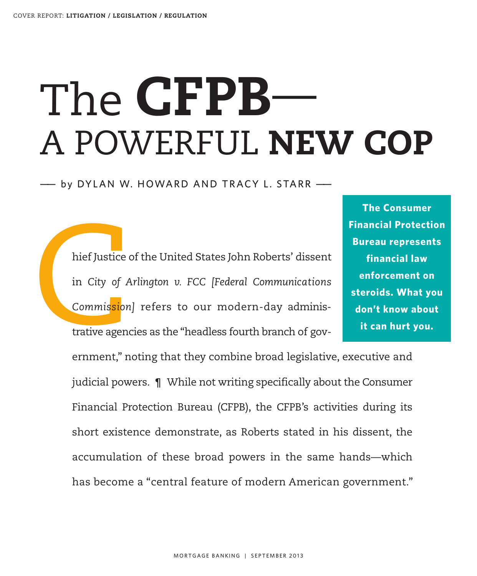# The **CFPB**— A POWERFUL **NEW COP**

—— by DYLAN W. HOWARD AND TRACY L . STARR ——

hief Justice<br>in City of A<br>Commission<br>trative agen hief Justice of the United States John Roberts' dissent in *City of Arlington v. FCC [Federal Communications Commission]* refers to our modern-day administrative agencies as the "headless fourth branch of gov-

**The Consumer Financial Protection Bureau represents financial law enforcement on steroids. What you don't know about it can hurt you.**

ernment," noting that they combine broad legislative, executive and judicial powers. ¶ While not writing specifically about the Consumer Financial Protection Bureau (CFPB), the CFPB's activities during its short existence demonstrate, as Roberts stated in his dissent, the accumulation of these broad powers in the same hands—which has become a "central feature of modern American government."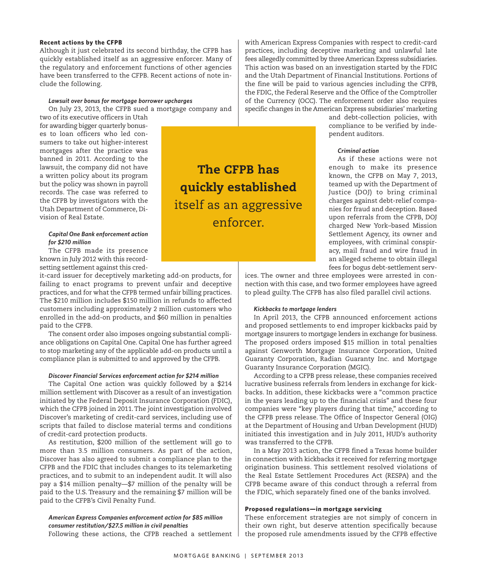# **Recent actions by the CFPB**

Although it just celebrated its second birthday, the CFPB has quickly established itself as an aggressive enforcer. Many of the regulatory and enforcement functions of other agencies have been transferred to the CFPB. Recent actions of note include the following.

### *Lawsuit over bonus for mortgage borrower upcharges*

On July 23, 2013, the CFPB sued a mortgage company and

two of its executive officers in Utah for awarding bigger quarterly bonuses to loan officers who led consumers to take out higher-interest mortgages after the practice was banned in 2011. According to the lawsuit, the company did not have a written policy about its program but the policy was shown in payroll records. The case was referred to the CFPB by investigators with the Utah Department of Commerce, Division of Real Estate.

# *Capital One Bank enforcement action for \$210 million*

The CFPB made its presence known in July 2012 with this recordsetting settlement against this cred-

it-card issuer for deceptively marketing add-on products, for failing to enact programs to prevent unfair and deceptive practices, and for what the CFPB termed unfair billing practices. The \$210 million includes \$150 million in refunds to affected customers including approximately 2 million customers who enrolled in the add-on products, and \$60 million in penalties paid to the CFPB.

The consent order also imposes ongoing substantial compliance obligations on Capital One. Capital One has further agreed to stop marketing any of the applicable add-on products until a compliance plan is submitted to and approved by the CFPB.

# *Discover Financial Services enforcement action for \$214 million*

The Capital One action was quickly followed by a \$214 million settlement with Discover as a result of an investigation initiated by the Federal Deposit Insurance Corporation (FDIC), which the CFPB joined in 2011.The joint investigation involved Discover's marketing of credit-card services, including use of scripts that failed to disclose material terms and conditions of credit-card protection products.

As restitution, \$200 million of the settlement will go to more than 3.5 million consumers. As part of the action, Discover has also agreed to submit a compliance plan to the CFPB and the FDIC that includes changes to its telemarketing practices, and to submit to an independent audit. It will also pay a \$14 million penalty—\$7 million of the penalty will be paid to the U.S. Treasury and the remaining \$7 million will be paid to the CFPB's Civil Penalty Fund.

# *American Express Companies enforcement action for \$85 million consumer restitution/\$27.5 million in civil penalties* Following these actions, the CFPB reached a settlement

with American Express Companies with respect to credit-card practices, including deceptive marketing and unlawful late fees allegedly committed by three American Express subsidiaries. This action was based on an investigation started by the FDIC and the Utah Department of Financial Institutions. Portions of the fine will be paid to various agencies including the CFPB, the FDIC, the Federal Reserve and the Office of the Comptroller of the Currency (OCC). The enforcement order also requires specific changes in the American Express subsidiaries' marketing

> and debt-collection policies, with compliance to be verified by independent auditors.

# *Criminal action*

As if these actions were not enough to make its presence known, the CFPB on May 7, 2013, teamed up with the Department of Justice (DOJ) to bring criminal charges against debt-relief companies for fraud and deception. Based upon referrals from the CFPB, DOJ charged New York–based Mission Settlement Agency, its owner and employees, with criminal conspiracy, mail fraud and wire fraud in an alleged scheme to obtain illegal fees for bogus debt-settlement serv-

ices. The owner and three employees were arrested in connection with this case, and two former employees have agreed to plead guilty. The CFPB has also filed parallel civil actions.

#### *Kickbacks to mortgage lenders*

In April 2013, the CFPB announced enforcement actions and proposed settlements to end improper kickbacks paid by mortgage insurers to mortgage lenders in exchange for business. The proposed orders imposed \$15 million in total penalties against Genworth Mortgage Insurance Corporation, United Guaranty Corporation, Radian Guaranty Inc. and Mortgage Guaranty Insurance Corporation (MGIC).

According to a CFPB press release, these companies received lucrative business referrals from lenders in exchange for kickbacks. In addition, these kickbacks were a "common practice in the years leading up to the financial crisis" and these four companies were "key players during that time," according to the CFPB press release. The Office of Inspector General (OIG) at the Department of Housing and Urban Development (HUD) initiated this investigation and in July 2011, HUD's authority was transferred to the CFPB.

In a May 2013 action, the CFPB fined a Texas home builder in connection with kickbacks it received for referring mortgage origination business. This settlement resolved violations of the Real Estate Settlement Procedures Act (RESPA) and the CFPB became aware of this conduct through a referral from the FDIC, which separately fined one of the banks involved.

# **Proposed regulations—in mortgage servicing**

These enforcement strategies are not simply of concern in their own right, but deserve attention specifically because the proposed rule amendments issued by the CFPB effective

**The CFPB has quickly established** itself as an aggressive enforcer.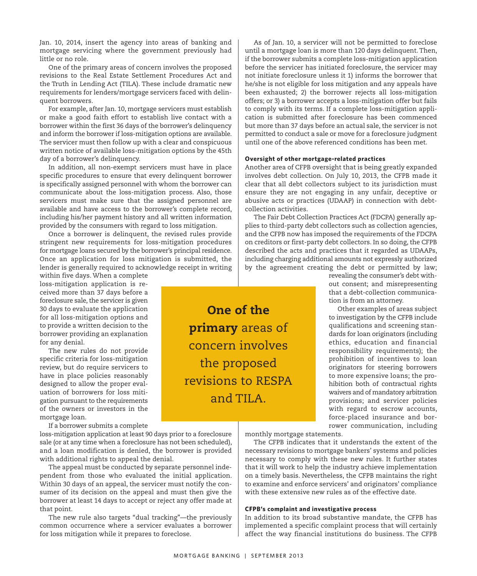Jan. 10, 2014, insert the agency into areas of banking and mortgage servicing where the government previously had little or no role.

One of the primary areas of concern involves the proposed revisions to the Real Estate Settlement Procedures Act and the Truth in Lending Act (TILA). These include dramatic new requirements for lenders/mortgage servicers faced with delinquent borrowers.

For example, after Jan. 10, mortgage servicers must establish or make a good faith effort to establish live contact with a borrower within the first 36 days of the borrower's delinquency and inform the borrower if loss-mitigation options are available. The servicer must then follow up with a clear and conspicuous written notice of available loss-mitigation options by the 45th day of a borrower's delinquency.

In addition, all non-exempt servicers must have in place specific procedures to ensure that every delinquent borrower is specifically assigned personnel with whom the borrower can communicate about the loss-mitigation process. Also, those servicers must make sure that the assigned personnel are available and have access to the borrower's complete record, including his/her payment history and all written information provided by the consumers with regard to loss mitigation.

Once a borrower is delinquent, the revised rules provide stringent new requirements for loss-mitigation procedures for mortgage loans secured by the borrower's principal residence. Once an application for loss mitigation is submitted, the lender is generally required to acknowledge receipt in writing

within five days. When a complete loss-mitigation application is received more than 37 days before a foreclosure sale, the servicer is given 30 days to evaluate the application for all loss-mitigation options and to provide a written decision to the borrower providing an explanation for any denial.

The new rules do not provide specific criteria for loss-mitigation review, but do require servicers to have in place policies reasonably designed to allow the proper evaluation of borrowers for loss mitigation pursuant to the requirements of the owners or investors in the mortgage loan.

If a borrower submits a complete

loss-mitigation application at least 90 days prior to a foreclosure sale (or at any time when a foreclosure has not been scheduled), and a loan modification is denied, the borrower is provided with additional rights to appeal the denial.

The appeal must be conducted by separate personnel independent from those who evaluated the initial application. Within 30 days of an appeal, the servicer must notify the consumer of its decision on the appeal and must then give the borrower at least 14 days to accept or reject any offer made at that point.

The new rule also targets "dual tracking"—the previously common occurrence where a servicer evaluates a borrower for loss mitigation while it prepares to foreclose.

As of Jan. 10, a servicer will not be permitted to foreclose until a mortgage loan is more than 120 days delinquent.Then, if the borrower submits a complete loss-mitigation application before the servicer has initiated foreclosure, the servicer may not initiate foreclosure unless it 1) informs the borrower that he/she is not eligible for loss mitigation and any appeals have been exhausted; 2) the borrower rejects all loss-mitigation offers; or 3) a borrower accepts a loss-mitigation offer but fails to comply with its terms. If a complete loss-mitigation application is submitted after foreclosure has been commenced but more than 37 days before an actual sale, the servicer is not permitted to conduct a sale or move for a foreclosure judgment until one of the above referenced conditions has been met.

# **Oversight of other mortgage-related practices**

Another area of CFPB oversight that is being greatly expanded involves debt collection. On July 10, 2013, the CFPB made it clear that all debt collectors subject to its jurisdiction must ensure they are not engaging in any unfair, deceptive or abusive acts or practices (UDAAP) in connection with debtcollection activities.

The Fair Debt Collection Practices Act (FDCPA) generally applies to third-party debt collectors such as collection agencies, and the CFPB now has imposed the requirements of the FDCPA on creditors or first-party debt collectors. In so doing, the CFPB described the acts and practices that it regarded as UDAAPs, including charging additional amounts not expressly authorized by the agreement creating the debt or permitted by law;

revealing the consumer's debt without consent; and misrepresenting that a debt-collection communication is from an attorney.

Other examples of areas subject to investigation by the CFPB include qualifications and screening standards for loan originators (including ethics, education and financial responsibility requirements); the prohibition of incentives to loan originators for steering borrowers to more expensive loans; the prohibition both of contractual rights waivers and of mandatory arbitration provisions; and servicer policies with regard to escrow accounts, force-placed insurance and borrower communication, including

monthly mortgage statements.

The CFPB indicates that it understands the extent of the necessary revisions to mortgage bankers' systems and policies necessary to comply with these new rules. It further states that it will work to help the industry achieve implementation on a timely basis. Nevertheless, the CFPB maintains the right to examine and enforce servicers' and originators' compliance with these extensive new rules as of the effective date.

# **CFPB's complaint and investigative process**

In addition to its broad substantive mandate, the CFPB has implemented a specific complaint process that will certainly affect the way financial institutions do business. The CFPB

**primary** areas of concern involves the proposed revisions to RESPA and TILA.

**One of the**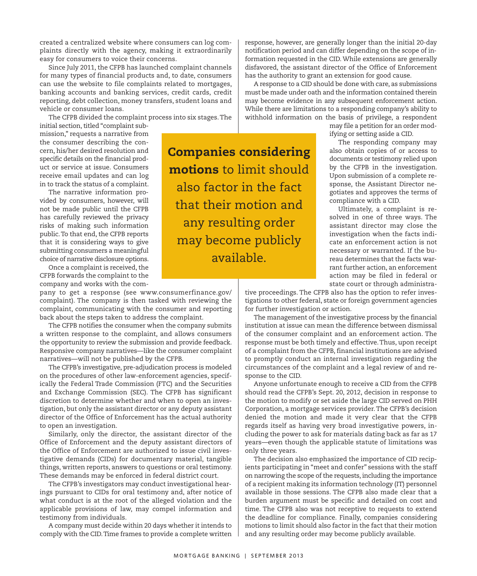created a centralized website where consumers can log complaints directly with the agency, making it extraordinarily easy for consumers to voice their concerns.

Since July 2011, the CFPB has launched complaint channels for many types of financial products and, to date, consumers can use the website to file complaints related to mortgages, banking accounts and banking services, credit cards, credit reporting, debt collection, money transfers, student loans and vehicle or consumer loans.

The CFPB divided the complaint process into six stages.The

initial section, titled "complaint submission," requests a narrative from the consumer describing the concern, his/her desired resolution and specific details on the financial product or service at issue. Consumers receive email updates and can log in to track the status of a complaint.

The narrative information provided by consumers, however, will not be made public until the CFPB has carefully reviewed the privacy risks of making such information public.To that end, the CFPB reports that it is considering ways to give submitting consumers a meaningful choice of narrative disclosure options.

Once a complaint is received, the CFPB forwards the complaint to the company and works with the com-

pany to get a response (see www.consumerfinance.gov/ complaint). The company is then tasked with reviewing the complaint, communicating with the consumer and reporting back about the steps taken to address the complaint.

The CFPB notifies the consumer when the company submits a written response to the complaint, and allows consumers the opportunity to review the submission and provide feedback. Responsive company narratives—like the consumer complaint narratives—will not be published by the CFPB.

The CFPB's investigative, pre-adjudication process is modeled on the procedures of other law-enforcement agencies, specifically the Federal Trade Commission (FTC) and the Securities and Exchange Commission (SEC). The CFPB has significant discretion to determine whether and when to open an investigation, but only the assistant director or any deputy assistant director of the Office of Enforcement has the actual authority to open an investigation.

Similarly, only the director, the assistant director of the Office of Enforcement and the deputy assistant directors of the Office of Enforcement are authorized to issue civil investigative demands (CIDs) for documentary material, tangible things, written reports, answers to questions or oral testimony. These demands may be enforced in federal district court.

The CFPB's investigators may conduct investigational hearings pursuant to CIDs for oral testimony and, after notice of what conduct is at the root of the alleged violation and the applicable provisions of law, may compel information and testimony from individuals.

A company must decide within 20 days whether it intends to comply with the CID.Time frames to provide a complete written notification period and can differ depending on the scope of information requested in the CID.While extensions are generally disfavored, the assistant director of the Office of Enforcement has the authority to grant an extension for good cause. A response to a CID should be done with care, as submissions

must be made under oath and the information contained therein may become evidence in any subsequent enforcement action. While there are limitations to a responding company's ability to withhold information on the basis of privilege, a respondent

response, however, are generally longer than the initial 20-day

may file a petition for an order modifying or setting aside a CID.

The responding company may also obtain copies of or access to documents or testimony relied upon by the CFPB in the investigation. Upon submission of a complete response, the Assistant Director negotiates and approves the terms of compliance with a CID.

Ultimately, a complaint is resolved in one of three ways. The assistant director may close the investigation when the facts indicate an enforcement action is not necessary or warranted. If the bureau determines that the facts warrant further action, an enforcement action may be filed in federal or state court or through administra-

tive proceedings. The CFPB also has the option to refer investigations to other federal, state or foreign government agencies for further investigation or action.

The management of the investigative process by the financial institution at issue can mean the difference between dismissal of the consumer complaint and an enforcement action. The response must be both timely and effective.Thus, upon receipt of a complaint from the CFPB, financial institutions are advised to promptly conduct an internal investigation regarding the circumstances of the complaint and a legal review of and response to the CID.

Anyone unfortunate enough to receive a CID from the CFPB should read the CFPB's Sept. 20, 2012, decision in response to the motion to modify or set aside the large CID served on PHH Corporation, a mortgage services provider.The CFPB's decision denied the motion and made it very clear that the CFPB regards itself as having very broad investigative powers, including the power to ask for materials dating back as far as 17 years—even though the applicable statute of limitations was only three years.

The decision also emphasized the importance of CID recipients participating in "meet and confer" sessions with the staff on narrowing the scope of the requests, including the importance of a recipient making its information technology (IT) personnel available in those sessions. The CFPB also made clear that a burden argument must be specific and detailed on cost and time. The CFPB also was not receptive to requests to extend the deadline for compliance. Finally, companies considering motions to limit should also factor in the fact that their motion and any resulting order may become publicly available.

**Companies considering motions** to limit should also factor in the fact that their motion and any resulting order may become publicly available.